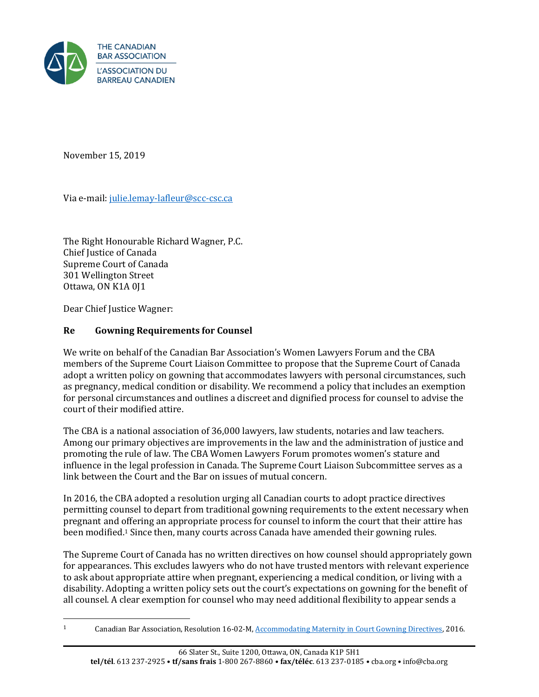

November 15, 2019

Via e-mail: [julie.lemay-lafleur@scc-csc.ca](mailto:julie.lemay-lafleur@scc-csc.ca)

The Right Honourable Richard Wagner, P.C. Chief Justice of Canada Supreme Court of Canada 301 Wellington Street Ottawa, ON K1A 0J1

Dear Chief Justice Wagner:

## **Re Gowning Requirements for Counsel**

We write on behalf of the Canadian Bar Association's Women Lawyers Forum and the CBA members of the Supreme Court Liaison Committee to propose that the Supreme Court of Canada adopt a written policy on gowning that accommodates lawyers with personal circumstances, such as pregnancy, medical condition or disability. We recommend a policy that includes an exemption for personal circumstances and outlines a discreet and dignified process for counsel to advise the court of their modified attire.

The CBA is a national association of 36,000 lawyers, law students, notaries and law teachers. Among our primary objectives are improvements in the law and the administration of justice and promoting the rule of law. The CBA Women Lawyers Forum promotes women's stature and influence in the legal profession in Canada. The Supreme Court Liaison Subcommittee serves as a link between the Court and the Bar on issues of mutual concern.

In 2016, the CBA adopted a resolution urging all Canadian courts to adopt practice directives permitting counsel to depart from traditional gowning requirements to the extent necessary when pregnant and offering an appropriate process for counsel to inform the court that their attire has been modified.<sup>1</sup> Since then, many courts across Canada have amended their gowning rules.

The Supreme Court of Canada has no written directives on how counsel should appropriately gown for appearances. This excludes lawyers who do not have trusted mentors with relevant experience to ask about appropriate attire when pregnant, experiencing a medical condition, or living with a disability. Adopting a written policy sets out the court's expectations on gowning for the benefit of all counsel. A clear exemption for counsel who may need additional flexibility to appear sends a

<sup>1</sup> Canadian Bar Association, Resolution 16-02-M[, Accommodating Maternity in Court Gowning Directives,](https://www.cba.org/getattachment/Our-Work/Resolutions/Resolutions/2016/Accommodating-Maternity-in-Court-Gowning-Directive/Accommodating-Maternity-in-Court-Gowning-Directives.pdf) 2016.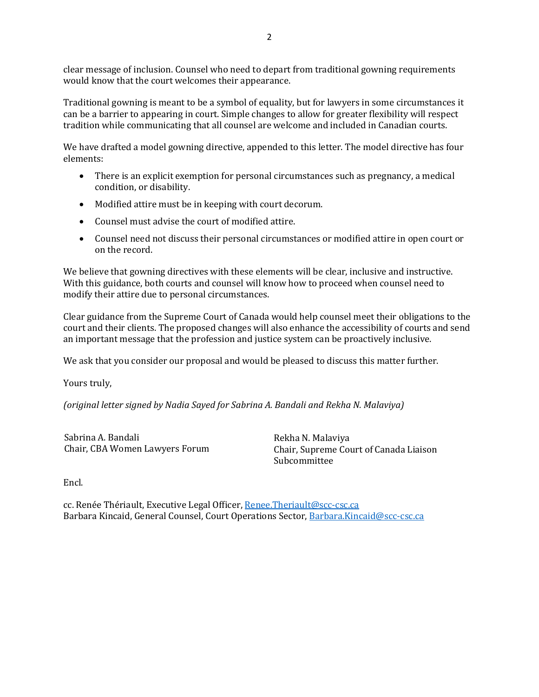clear message of inclusion. Counsel who need to depart from traditional gowning requirements would know that the court welcomes their appearance.

Traditional gowning is meant to be a symbol of equality, but for lawyers in some circumstances it can be a barrier to appearing in court. Simple changes to allow for greater flexibility will respect tradition while communicating that all counsel are welcome and included in Canadian courts.

We have drafted a model gowning directive, appended to this letter. The model directive has four elements:

- There is an explicit exemption for personal circumstances such as pregnancy, a medical condition, or disability.
- Modified attire must be in keeping with court decorum.
- Counsel must advise the court of modified attire.
- Counsel need not discuss their personal circumstances or modified attire in open court or on the record.

We believe that gowning directives with these elements will be clear, inclusive and instructive. With this guidance, both courts and counsel will know how to proceed when counsel need to modify their attire due to personal circumstances.

Clear guidance from the Supreme Court of Canada would help counsel meet their obligations to the court and their clients. The proposed changes will also enhance the accessibility of courts and send an important message that the profession and justice system can be proactively inclusive.

We ask that you consider our proposal and would be pleased to discuss this matter further.

Yours truly,

*(original letter signed by Nadia Sayed for Sabrina A. Bandali and Rekha N. Malaviya)*

Sabrina A. Bandali Chair, CBA Women Lawyers Forum Rekha N. Malaviya Chair, Supreme Court of Canada Liaison Subcommittee

Encl.

cc. Renée Thériault, Executive Legal Officer, [Renee.Theriault@scc-csc.ca](mailto:Renee.Theriault@SCC-CSC.CA) Barbara Kincaid, General Counsel, Court Operations Sector[, Barbara.Kincaid@scc-csc.ca](mailto:Barbara.Kincaid@SCC-CSC.CA)